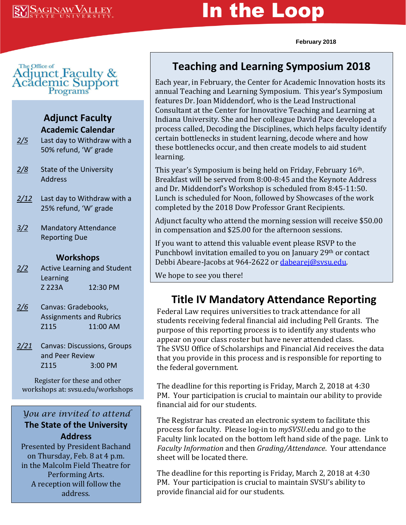# In the Loop

**February 2018**



#### **Adjunct Faculty Academic Calendar**

- *2/5* Last day to Withdraw with a 50% refund, 'W' grade
- *2/8* State of the University Address
- *2/12* Last day to Withdraw with a 25% refund, 'W' grade
- *3/2* Mandatory Attendance Reporting Due

#### **Workshops**

- *2/2* Active Learning and Student Learning Z 223A 12:30 PM
- *2/6* Canvas: Gradebooks, Assignments and Rubrics Z115 11:00 AM
- *2/21* Canvas: Discussions, Groups and Peer Review Z115 3:00 PM

Register for these and other workshops at: svsu.edu/workshops

#### *You are invited to attend* **The State of the University Address**

Presented by President Bachand on Thursday, Feb. 8 at 4 p.m. in the Malcolm Field Theatre for Performing Arts. A reception will follow the address.

## **Teaching and Learning Symposium 2018**

Each year, in February, the Center for Academic Innovation hosts its annual Teaching and Learning Symposium. This year's Symposium features Dr. Joan Middendorf, who is the Lead Instructional Consultant at the Center for Innovative Teaching and Learning at Indiana University. She and her colleague David Pace developed a process called, Decoding the Disciplines, which helps faculty identify certain bottlenecks in student learning, decode where and how these bottlenecks occur, and then create models to aid student learning.

This year's Symposium is being held on Friday, February 16th. Breakfast will be served from 8:00-8:45 and the Keynote Address and Dr. Middendorf's Workshop is scheduled from 8:45-11:50. Lunch is scheduled for Noon, followed by Showcases of the work completed by the 2018 Dow Professor Grant Recipients.

Adjunct faculty who attend the morning session will receive \$50.00 in compensation and \$25.00 for the afternoon sessions.

If you want to attend this valuable event please RSVP to the Punchbowl invitation emailed to you on January 29<sup>th</sup> or contact Debbi Abeare-Jacobs at 964-2622 or dabearej@sysu.edu.

We hope to see you there!

### **Title IV Mandatory Attendance Reporting**

Federal Law requires universities to track attendance for all students receiving federal financial aid including Pell Grants. The purpose of this reporting process is to identify any students who appear on your class roster but have never attended class. The SVSU Office of Scholarships and Financial Aid receives the data that you provide in this process and is responsible for reporting to the federal government.

The deadline for this reporting is Friday, March 2, 2018 at 4:30 PM. Your participation is crucial to maintain our ability to provide financial aid for our students.

The Registrar has created an electronic system to facilitate this process for faculty. Please log-in to *mySVSU*.edu and go to the Faculty link located on the bottom left hand side of the page. Link to *Faculty Information* and then *Grading/Attendance*. Your attendance sheet will be located there.

The deadline for this reporting is Friday, March 2, 2018 at 4:30 PM. Your participation is crucial to maintain SVSU's ability to provide financial aid for our students.